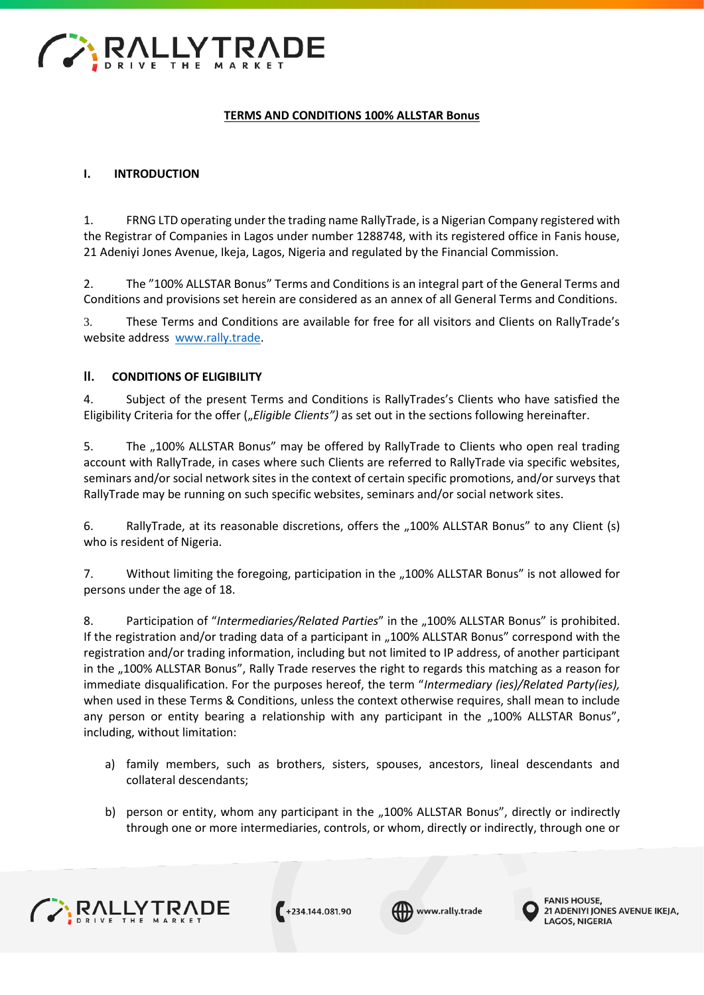

# **TERMS AND CONDITIONS 100% ALLSTAR Bonus**

## **I. INTRODUCTION**

1. FRNG LTD operating under the trading name RallyTrade, is a Nigerian Company registered with the Registrar of Companies in Lagos under number 1288748, with its registered office in Fanis house, 21 Adeniyi Jones Avenue, Ikeja, Lagos, Nigeria and regulated by the Financial Commission.

2. The "100% ALLSTAR Bonus" Terms and Conditions is an integral part of the General Terms and Conditions and provisions set herein are considered as an annex of all General Terms and Conditions.

3. These Terms and Conditions are available for free for all visitors and Clients on RallyTrade's website address [www.rally.trade.](http://www.forexrally.trade/)

#### **II. CONDITIONS OF ELIGIBILITY**

4. Subject of the present Terms and Conditions is RallyTrades's Clients who have satisfied the Eligibility Criteria for the offer (*"Eligible Clients"*) as set out in the sections following hereinafter.

5. The "100% ALLSTAR Bonus" may be offered by RallyTrade to Clients who open real trading account with RallyTrade, in cases where such Clients are referred to RallyTrade via specific websites, seminars and/or social network sites in the context of certain specific promotions, and/or surveys that RallyTrade may be running on such specific websites, seminars and/or social network sites.

6. RallyTrade, at its reasonable discretions, offers the "100% ALLSTAR Bonus" to any Client (s) who is resident of Nigeria.

7. Without limiting the foregoing, participation in the "100% ALLSTAR Bonus" is not allowed for persons under the age of 18.

8. Participation of "*Intermediaries/Related Parties*" in the "100% ALLSTAR Bonus" is prohibited. If the registration and/or trading data of a participant in "100% ALLSTAR Bonus" correspond with the registration and/or trading information, including but not limited to IP address, of another participant in the "100% ALLSTAR Bonus", Rally Trade reserves the right to regards this matching as a reason for immediate disqualification. For the purposes hereof, the term "*Intermediary (ies)/Related Party(ies),*  when used in these Terms & Conditions, unless the context otherwise requires, shall mean to include any person or entity bearing a relationship with any participant in the "100% ALLSTAR Bonus", including, without limitation:

- a) family members, such as brothers, sisters, spouses, ancestors, lineal descendants and collateral descendants;
- b) person or entity, whom any participant in the "100% ALLSTAR Bonus", directly or indirectly through one or more intermediaries, controls, or whom, directly or indirectly, through one or



 $+234.144.081.90$ 

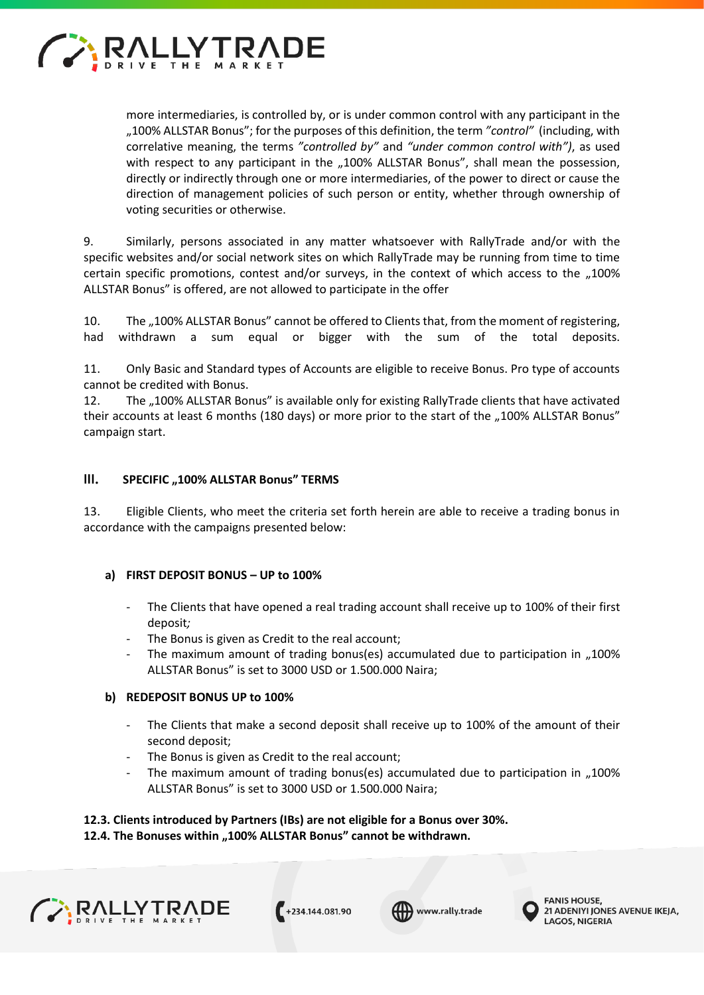

more intermediaries, is controlled by, or is under common control with any participant in the "100% ALLSTAR Bonus"; for the purposes of this definition, the term *"control"* (including, with correlative meaning, the terms *"controlled by"* and *"under common control with")*, as used with respect to any participant in the "100% ALLSTAR Bonus", shall mean the possession, directly or indirectly through one or more intermediaries, of the power to direct or cause the direction of management policies of such person or entity, whether through ownership of voting securities or otherwise.

9. Similarly, persons associated in any matter whatsoever with RallyTrade and/or with the specific websites and/or social network sites on which RallyTrade may be running from time to time certain specific promotions, contest and/or surveys, in the context of which access to the "100% ALLSTAR Bonus" is offered, are not allowed to participate in the offer

10. The "100% ALLSTAR Bonus" cannot be offered to Clients that, from the moment of registering, had withdrawn a sum equal or bigger with the sum of the total deposits.

11. Only Basic and Standard types of Accounts are eligible to receive Bonus. Pro type of accounts cannot be credited with Bonus.

12. The "100% ALLSTAR Bonus" is available only for existing RallyTrade clients that have activated their accounts at least 6 months (180 days) or more prior to the start of the "100% ALLSTAR Bonus" campaign start.

#### **III. SPECIFIC "100% ALLSTAR Bonus" TERMS**

13. Eligible Clients, who meet the criteria set forth herein are able to receive a trading bonus in accordance with the campaigns presented below:

#### **a) FIRST DEPOSIT BONUS – UP to 100%**

- The Clients that have opened a real trading account shall receive up to 100% of their first deposit*;*
- The Bonus is given as Credit to the real account;
- The maximum amount of trading bonus(es) accumulated due to participation in "100% ALLSTAR Bonus" is set to 3000 USD or 1.500.000 Naira;

#### **b) REDEPOSIT BONUS UP to 100%**

- The Clients that make a second deposit shall receive up to 100% of the amount of their second deposit;
- The Bonus is given as Credit to the real account;
- The maximum amount of trading bonus(es) accumulated due to participation in  $,100\%$ ALLSTAR Bonus" is set to 3000 USD or 1.500.000 Naira;

# **12.3. Clients introduced by Partners (IBs) are not eligible for a Bonus over 30%. 12.4. The Bonuses within "100% ALLSTAR Bonus" cannot be withdrawn.**







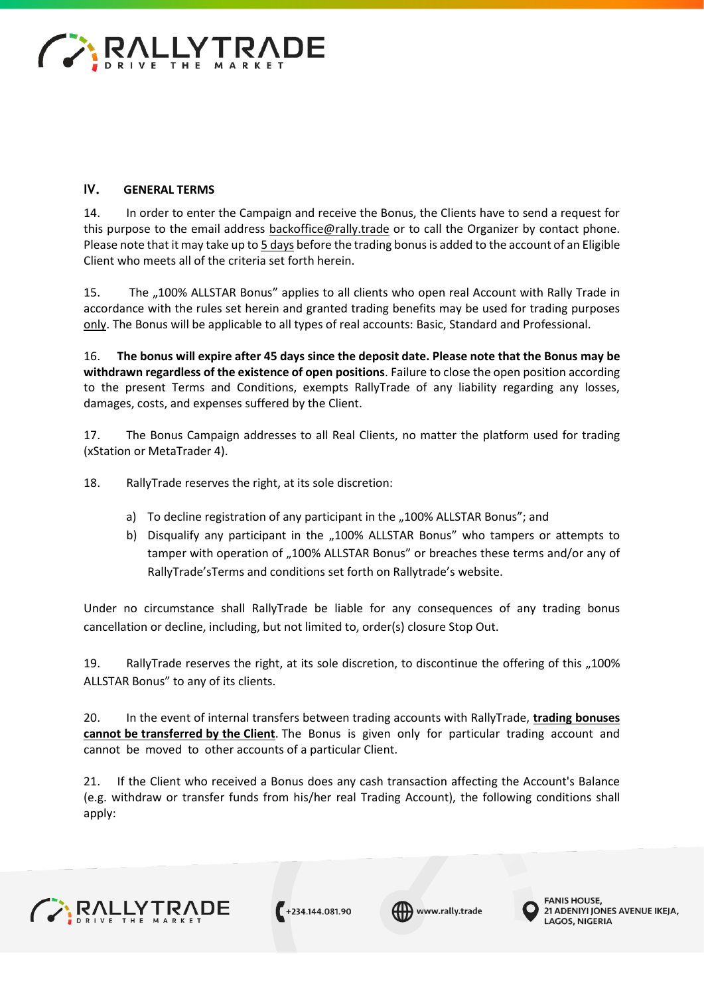

# **IV. GENERAL TERMS**

14. In order to enter the Campaign and receive the Bonus, the Clients have to send a request for this purpose to the email address [backoffice@rally.trade](mailto:backoffice@forexrally.trade) [or](mailto:backoffice@forexrally.trade) to call the Organizer by contact phone. Please note that it may take up to 5 days before the trading bonus is added to the account of an Eligible Client who meets all of the criteria set forth herein.

15. The "100% ALLSTAR Bonus" applies to all clients who open real Account with Rally Trade in accordance with the rules set herein and granted trading benefits may be used for trading purposes only. The Bonus will be applicable to all types of real accounts: Basic, Standard and Professional.

16. **The bonus will expire after 45 days since the deposit date. Please note that the Bonus may be withdrawn regardless of the existence of open positions**. Failure to close the open position according to the present Terms and Conditions, exempts RallyTrade of any liability regarding any losses, damages, costs, and expenses suffered by the Client.

17. The Bonus Campaign addresses to all Real Clients, no matter the platform used for trading (xStation or MetaTrader 4).

18. RallyTrade reserves the right, at its sole discretion:

- a) To decline registration of any participant in the "100% ALLSTAR Bonus"; and
- b) Disqualify any participant in the "100% ALLSTAR Bonus" who tampers or attempts to tamper with operation of "100% ALLSTAR Bonus" or breaches these terms and/or any of RallyTrade'sTerms and conditions set forth on Rallytrade's website.

Under no circumstance shall RallyTrade be liable for any consequences of any trading bonus cancellation or decline, including, but not limited to, order(s) closure Stop Out.

19. RallyTrade reserves the right, at its sole discretion, to discontinue the offering of this "100% ALLSTAR Bonus" to any of its clients.

20. In the event of internal transfers between trading accounts with RallyTrade, **trading bonuses cannot be transferred by the Client**. The Bonus is given only for particular trading account and cannot be moved to other accounts of a particular Client.

21. If the Client who received a Bonus does any cash transaction affecting the Account's Balance (e.g. withdraw or transfer funds from his/her real Trading Account), the following conditions shall apply:



 $+234.144.081.90$ 



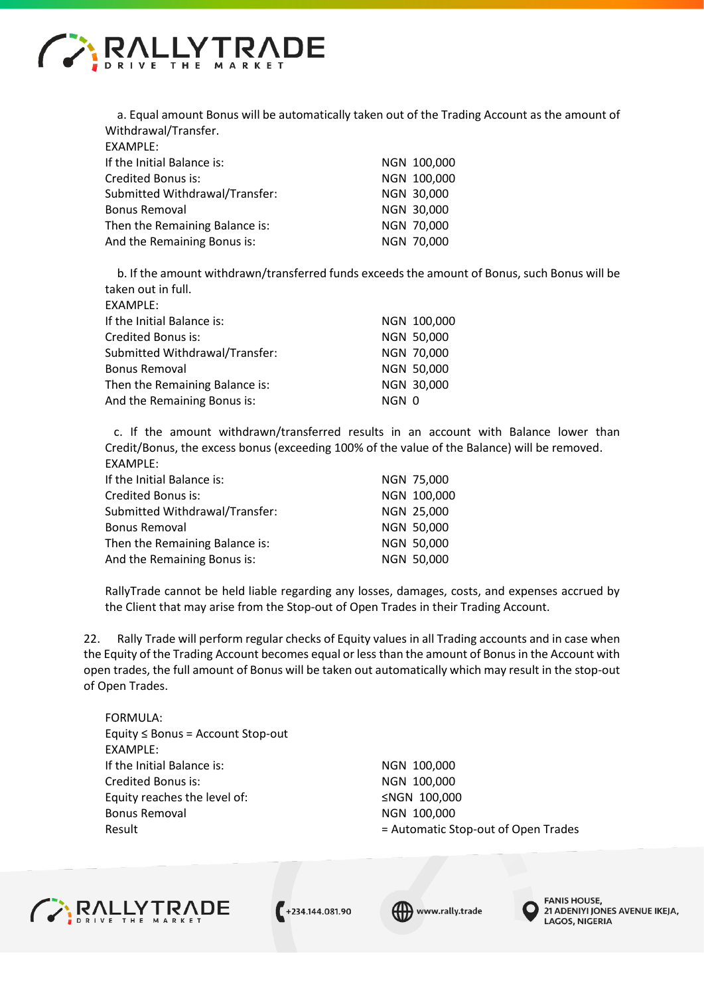

a. Equal amount Bonus will be automatically taken out of the Trading Account as the amount of Withdrawal/Transfer.

| EXAMPLE:                       |             |
|--------------------------------|-------------|
| If the Initial Balance is:     | NGN 100,000 |
| Credited Bonus is:             | NGN 100,000 |
| Submitted Withdrawal/Transfer: | NGN 30,000  |
| <b>Bonus Removal</b>           | NGN 30,000  |
| Then the Remaining Balance is: | NGN 70,000  |
| And the Remaining Bonus is:    | NGN 70,000  |
|                                |             |

b. If the amount withdrawn/transferred funds exceeds the amount of Bonus, such Bonus will be taken out in full.

| EXAMPLE:                       |       |             |
|--------------------------------|-------|-------------|
| If the Initial Balance is:     |       | NGN 100,000 |
| Credited Bonus is:             |       | NGN 50,000  |
| Submitted Withdrawal/Transfer: |       | NGN 70,000  |
| <b>Bonus Removal</b>           |       | NGN 50,000  |
| Then the Remaining Balance is: |       | NGN 30,000  |
| And the Remaining Bonus is:    | NGN 0 |             |

 c. If the amount withdrawn/transferred results in an account with Balance lower than Credit/Bonus, the excess bonus (exceeding 100% of the value of the Balance) will be removed. EXAMPLE:

| If the Initial Balance is:     | NGN 75,000  |
|--------------------------------|-------------|
| Credited Bonus is:             | NGN 100,000 |
| Submitted Withdrawal/Transfer: | NGN 25,000  |
| <b>Bonus Removal</b>           | NGN 50,000  |
| Then the Remaining Balance is: | NGN 50,000  |
| And the Remaining Bonus is:    | NGN 50,000  |

RallyTrade cannot be held liable regarding any losses, damages, costs, and expenses accrued by the Client that may arise from the Stop-out of Open Trades in their Trading Account.

22. Rally Trade will perform regular checks of Equity values in all Trading accounts and in case when the Equity of the Trading Account becomes equal or less than the amount of Bonus in the Account with open trades, the full amount of Bonus will be taken out automatically which may result in the stop-out of Open Trades.

FORMULA: Equity ≤ Bonus = Account Stop-out EXAMPLE: If the Initial Balance is: NGN 100,000 Credited Bonus is: NGN 100,000 Equity reaches the level of: ≤NGN 100,000 Bonus Removal and a series of the NGN 100,000

Result **Example 2** and the Automatic Stop-out of Open Trades



 $+234.144.081.90$ 



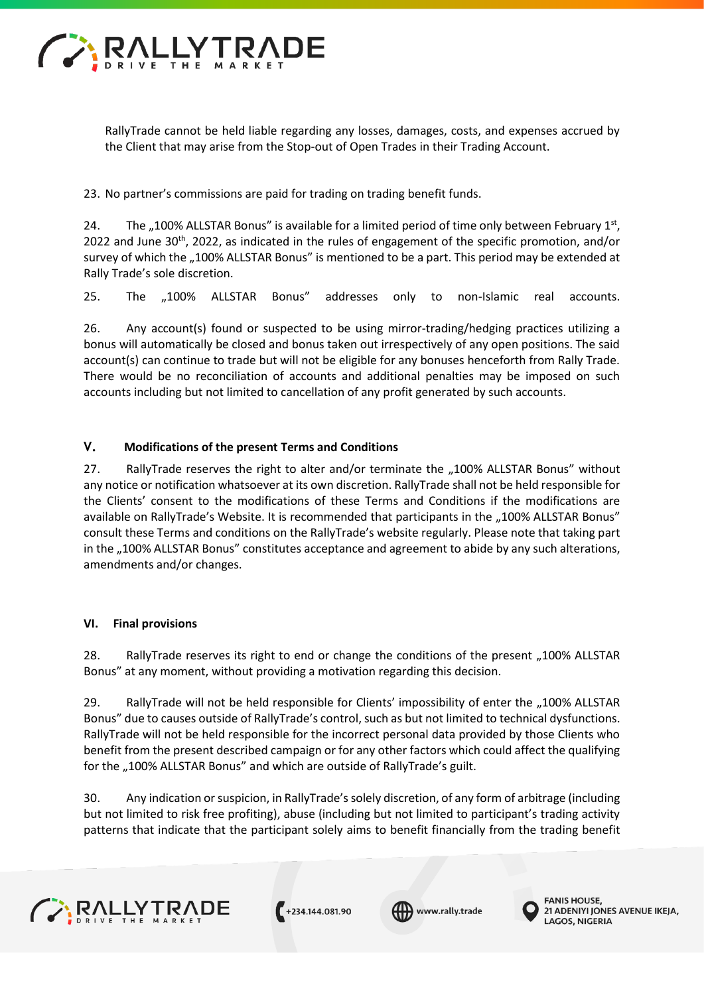

RallyTrade cannot be held liable regarding any losses, damages, costs, and expenses accrued by the Client that may arise from the Stop-out of Open Trades in their Trading Account.

23. No partner's commissions are paid for trading on trading benefit funds.

24. The "100% ALLSTAR Bonus" is available for a limited period of time only between February  $1<sup>st</sup>$ , 2022 and June 30<sup>th</sup>, 2022, as indicated in the rules of engagement of the specific promotion, and/or survey of which the "100% ALLSTAR Bonus" is mentioned to be a part. This period may be extended at Rally Trade's sole discretion.

25. The "100% ALLSTAR Bonus" addresses only to non-Islamic real accounts.

26. Any account(s) found or suspected to be using mirror-trading/hedging practices utilizing a bonus will automatically be closed and bonus taken out irrespectively of any open positions. The said account(s) can continue to trade but will not be eligible for any bonuses henceforth from Rally Trade. There would be no reconciliation of accounts and additional penalties may be imposed on such accounts including but not limited to cancellation of any profit generated by such accounts.

# **V. Modifications of the present Terms and Conditions**

27. RallyTrade reserves the right to alter and/or terminate the "100% ALLSTAR Bonus" without any notice or notification whatsoever at its own discretion. RallyTrade shall not be held responsible for the Clients' consent to the modifications of these Terms and Conditions if the modifications are available on RallyTrade's Website. It is recommended that participants in the "100% ALLSTAR Bonus" consult these Terms and conditions on the RallyTrade's website regularly. Please note that taking part in the "100% ALLSTAR Bonus" constitutes acceptance and agreement to abide by any such alterations, amendments and/or changes.

#### **VI. Final provisions**

28. RallyTrade reserves its right to end or change the conditions of the present "100% ALLSTAR Bonus" at any moment, without providing a motivation regarding this decision.

29. RallyTrade will not be held responsible for Clients' impossibility of enter the "100% ALLSTAR Bonus" due to causes outside of RallyTrade's control, such as but not limited to technical dysfunctions. RallyTrade will not be held responsible for the incorrect personal data provided by those Clients who benefit from the present described campaign or for any other factors which could affect the qualifying for the "100% ALLSTAR Bonus" and which are outside of RallyTrade's guilt.

30. Any indication or suspicion, in RallyTrade'ssolely discretion, of any form of arbitrage (including but not limited to risk free profiting), abuse (including but not limited to participant's trading activity patterns that indicate that the participant solely aims to benefit financially from the trading benefit



 $+234.144.081.90$